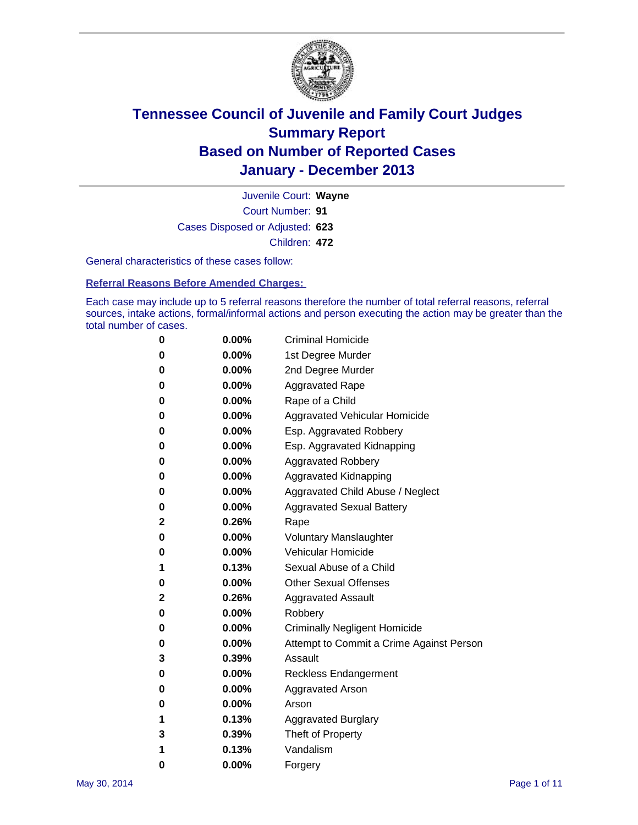

Court Number: **91** Juvenile Court: **Wayne** Cases Disposed or Adjusted: **623** Children: **472**

General characteristics of these cases follow:

**Referral Reasons Before Amended Charges:** 

Each case may include up to 5 referral reasons therefore the number of total referral reasons, referral sources, intake actions, formal/informal actions and person executing the action may be greater than the total number of cases.

| 0           | 0.00%    | <b>Criminal Homicide</b>                 |
|-------------|----------|------------------------------------------|
| 0           | 0.00%    | 1st Degree Murder                        |
| 0           | 0.00%    | 2nd Degree Murder                        |
| 0           | $0.00\%$ | <b>Aggravated Rape</b>                   |
| 0           | 0.00%    | Rape of a Child                          |
| 0           | 0.00%    | Aggravated Vehicular Homicide            |
| 0           | $0.00\%$ | Esp. Aggravated Robbery                  |
| 0           | 0.00%    | Esp. Aggravated Kidnapping               |
| 0           | 0.00%    | <b>Aggravated Robbery</b>                |
| 0           | $0.00\%$ | Aggravated Kidnapping                    |
| 0           | 0.00%    | Aggravated Child Abuse / Neglect         |
| 0           | 0.00%    | <b>Aggravated Sexual Battery</b>         |
| $\mathbf 2$ | 0.26%    | Rape                                     |
| 0           | $0.00\%$ | <b>Voluntary Manslaughter</b>            |
| 0           | 0.00%    | Vehicular Homicide                       |
| 1           | 0.13%    | Sexual Abuse of a Child                  |
| 0           | $0.00\%$ | <b>Other Sexual Offenses</b>             |
| 2           | 0.26%    | <b>Aggravated Assault</b>                |
| 0           | $0.00\%$ | Robbery                                  |
| 0           | $0.00\%$ | <b>Criminally Negligent Homicide</b>     |
| 0           | 0.00%    | Attempt to Commit a Crime Against Person |
| 3           | 0.39%    | Assault                                  |
| 0           | 0.00%    | <b>Reckless Endangerment</b>             |
| 0           | 0.00%    | Aggravated Arson                         |
| 0           | $0.00\%$ | Arson                                    |
| 1           | 0.13%    | <b>Aggravated Burglary</b>               |
| 3           | 0.39%    | Theft of Property                        |
| 1           | 0.13%    | Vandalism                                |
| 0           | 0.00%    | Forgery                                  |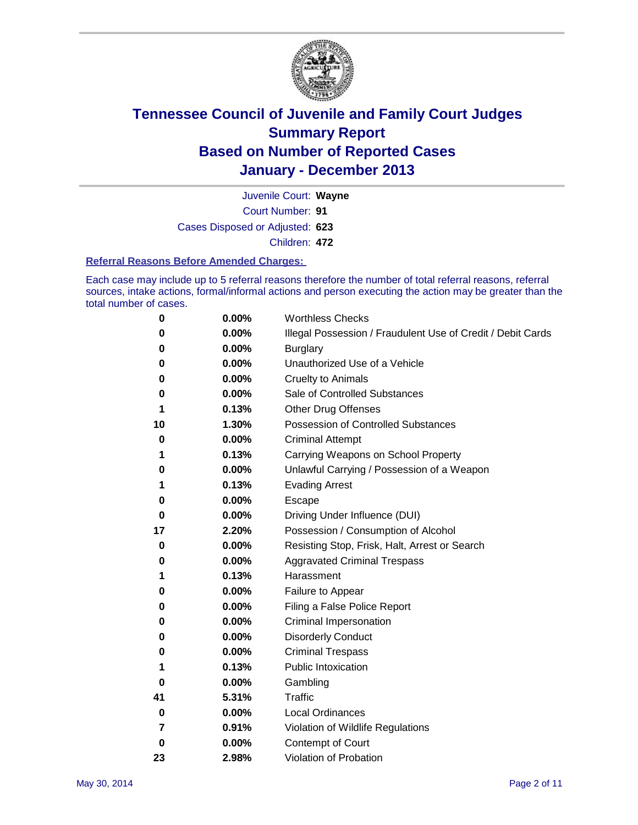

Court Number: **91** Juvenile Court: **Wayne** Cases Disposed or Adjusted: **623** Children: **472**

#### **Referral Reasons Before Amended Charges:**

Each case may include up to 5 referral reasons therefore the number of total referral reasons, referral sources, intake actions, formal/informal actions and person executing the action may be greater than the total number of cases.

| 0  | 0.00%    | <b>Worthless Checks</b>                                     |
|----|----------|-------------------------------------------------------------|
| 0  | 0.00%    | Illegal Possession / Fraudulent Use of Credit / Debit Cards |
| 0  | 0.00%    | <b>Burglary</b>                                             |
| 0  | 0.00%    | Unauthorized Use of a Vehicle                               |
| 0  | 0.00%    | <b>Cruelty to Animals</b>                                   |
| 0  | 0.00%    | Sale of Controlled Substances                               |
| 1  | 0.13%    | <b>Other Drug Offenses</b>                                  |
| 10 | 1.30%    | Possession of Controlled Substances                         |
| 0  | $0.00\%$ | <b>Criminal Attempt</b>                                     |
| 1  | 0.13%    | Carrying Weapons on School Property                         |
| 0  | 0.00%    | Unlawful Carrying / Possession of a Weapon                  |
| 1  | 0.13%    | <b>Evading Arrest</b>                                       |
| 0  | 0.00%    | Escape                                                      |
| 0  | 0.00%    | Driving Under Influence (DUI)                               |
| 17 | 2.20%    | Possession / Consumption of Alcohol                         |
| 0  | 0.00%    | Resisting Stop, Frisk, Halt, Arrest or Search               |
| 0  | $0.00\%$ | <b>Aggravated Criminal Trespass</b>                         |
| 1  | 0.13%    | Harassment                                                  |
| 0  | $0.00\%$ | Failure to Appear                                           |
| 0  | 0.00%    | Filing a False Police Report                                |
| 0  | 0.00%    | Criminal Impersonation                                      |
| 0  | 0.00%    | <b>Disorderly Conduct</b>                                   |
| 0  | 0.00%    | <b>Criminal Trespass</b>                                    |
| 1  | 0.13%    | <b>Public Intoxication</b>                                  |
| 0  | 0.00%    | Gambling                                                    |
| 41 | 5.31%    | <b>Traffic</b>                                              |
| 0  | $0.00\%$ | <b>Local Ordinances</b>                                     |
| 7  | 0.91%    | Violation of Wildlife Regulations                           |
| 0  | 0.00%    | Contempt of Court                                           |
| 23 | 2.98%    | Violation of Probation                                      |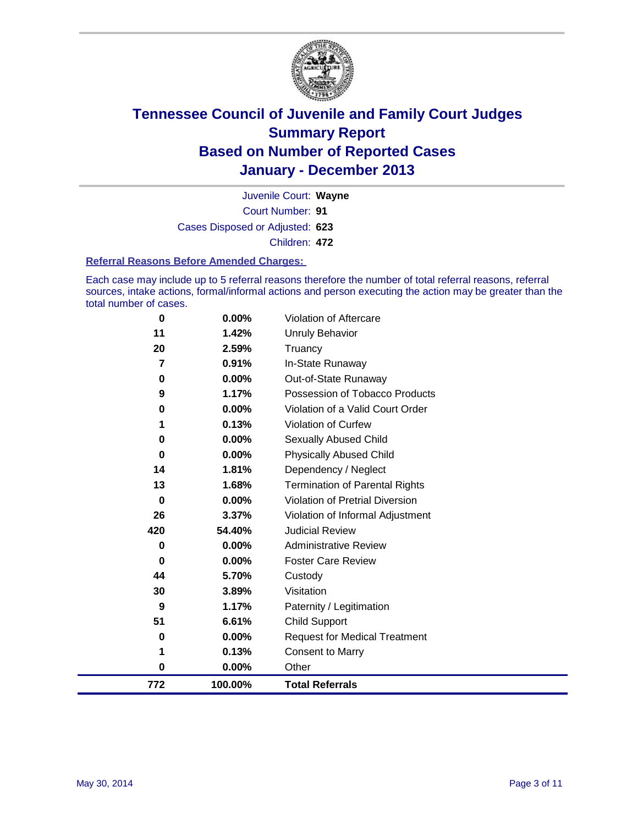

Court Number: **91** Juvenile Court: **Wayne** Cases Disposed or Adjusted: **623** Children: **472**

#### **Referral Reasons Before Amended Charges:**

Each case may include up to 5 referral reasons therefore the number of total referral reasons, referral sources, intake actions, formal/informal actions and person executing the action may be greater than the total number of cases.

| $\bf{0}$ | $0.00\%$ | Violation of Aftercare                 |
|----------|----------|----------------------------------------|
| 11       | 1.42%    | Unruly Behavior                        |
| 20       | 2.59%    | Truancy                                |
| 7        | 0.91%    | In-State Runaway                       |
| 0        | $0.00\%$ | Out-of-State Runaway                   |
| 9        | 1.17%    | Possession of Tobacco Products         |
| 0        | 0.00%    | Violation of a Valid Court Order       |
| 1        | 0.13%    | <b>Violation of Curfew</b>             |
| 0        | 0.00%    | Sexually Abused Child                  |
| 0        | 0.00%    | <b>Physically Abused Child</b>         |
| 14       | 1.81%    | Dependency / Neglect                   |
| 13       | 1.68%    | <b>Termination of Parental Rights</b>  |
| 0        | 0.00%    | <b>Violation of Pretrial Diversion</b> |
| 26       | 3.37%    | Violation of Informal Adjustment       |
| 420      | 54.40%   | <b>Judicial Review</b>                 |
| 0        | $0.00\%$ | <b>Administrative Review</b>           |
| 0        | 0.00%    | <b>Foster Care Review</b>              |
| 44       | 5.70%    | Custody                                |
| 30       | 3.89%    | Visitation                             |
| 9        | 1.17%    | Paternity / Legitimation               |
| 51       | 6.61%    | <b>Child Support</b>                   |
| 0        | 0.00%    | <b>Request for Medical Treatment</b>   |
| 1        | 0.13%    | Consent to Marry                       |
| 0        | $0.00\%$ | Other                                  |
| 772      | 100.00%  | <b>Total Referrals</b>                 |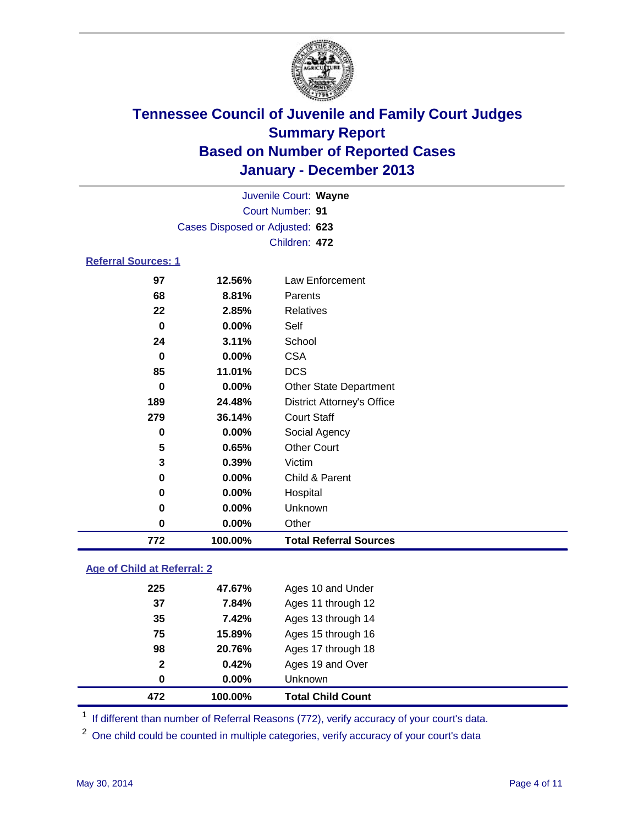

|                            | Juvenile Court: Wayne           |                                   |  |
|----------------------------|---------------------------------|-----------------------------------|--|
|                            |                                 | Court Number: 91                  |  |
|                            | Cases Disposed or Adjusted: 623 |                                   |  |
|                            |                                 | Children: 472                     |  |
| <b>Referral Sources: 1</b> |                                 |                                   |  |
| 97                         | 12.56%                          | Law Enforcement                   |  |
| 68                         | 8.81%                           | Parents                           |  |
| 22                         | 2.85%                           | <b>Relatives</b>                  |  |
| $\bf{0}$                   | $0.00\%$                        | Self                              |  |
| 24                         | 3.11%                           | School                            |  |
| $\bf{0}$                   | 0.00%                           | <b>CSA</b>                        |  |
| 85                         | 11.01%                          | <b>DCS</b>                        |  |
| 0                          | $0.00\%$                        | <b>Other State Department</b>     |  |
| 189                        | 24.48%                          | <b>District Attorney's Office</b> |  |
| 279                        | 36.14%                          | <b>Court Staff</b>                |  |
| 0                          | 0.00%                           | Social Agency                     |  |
| 5                          | 0.65%                           | <b>Other Court</b>                |  |
| 3                          | 0.39%                           | Victim                            |  |
| 0                          | 0.00%                           | Child & Parent                    |  |
| 0                          | $0.00\%$                        | Hospital                          |  |
| 0                          | $0.00\%$                        | Unknown                           |  |
| 0                          | 0.00%                           | Other                             |  |
| 772                        | 100.00%                         | <b>Total Referral Sources</b>     |  |

### **Age of Child at Referral: 2**

| $\mathbf{2}$<br>0 | 0.42%<br>0.00% | Ages 19 and Over<br>Unknown |
|-------------------|----------------|-----------------------------|
|                   |                |                             |
|                   |                |                             |
| 98                | 20.76%         | Ages 17 through 18          |
| 75                | 15.89%         | Ages 15 through 16          |
| 35                | 7.42%          | Ages 13 through 14          |
| 37                | 7.84%          | Ages 11 through 12          |
| 225               | 47.67%         | Ages 10 and Under           |
|                   |                |                             |

<sup>1</sup> If different than number of Referral Reasons (772), verify accuracy of your court's data.

<sup>2</sup> One child could be counted in multiple categories, verify accuracy of your court's data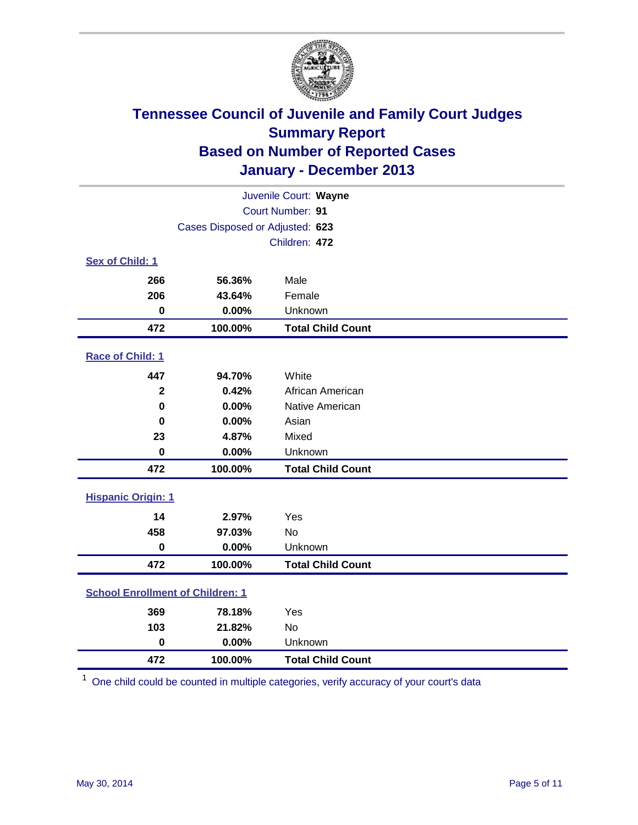

| Juvenile Court: Wayne                   |                                 |                          |  |  |
|-----------------------------------------|---------------------------------|--------------------------|--|--|
| Court Number: 91                        |                                 |                          |  |  |
|                                         | Cases Disposed or Adjusted: 623 |                          |  |  |
|                                         |                                 | Children: 472            |  |  |
| Sex of Child: 1                         |                                 |                          |  |  |
| 266                                     | 56.36%                          | Male                     |  |  |
| 206                                     | 43.64%                          | Female                   |  |  |
| $\mathbf 0$                             | 0.00%                           | Unknown                  |  |  |
| 472                                     | 100.00%                         | <b>Total Child Count</b> |  |  |
| Race of Child: 1                        |                                 |                          |  |  |
| 447                                     | 94.70%                          | White                    |  |  |
| $\overline{\mathbf{2}}$                 | 0.42%                           | African American         |  |  |
| $\bf{0}$                                | 0.00%                           | Native American          |  |  |
| 0                                       | 0.00%                           | Asian                    |  |  |
| 23                                      | 4.87%                           | Mixed                    |  |  |
| $\mathbf 0$                             | 0.00%                           | Unknown                  |  |  |
| 472                                     | 100.00%                         | <b>Total Child Count</b> |  |  |
| <b>Hispanic Origin: 1</b>               |                                 |                          |  |  |
| 14                                      | 2.97%                           | Yes                      |  |  |
| 458                                     | 97.03%                          | <b>No</b>                |  |  |
| $\bf{0}$                                | 0.00%                           | Unknown                  |  |  |
| 472                                     | 100.00%                         | <b>Total Child Count</b> |  |  |
| <b>School Enrollment of Children: 1</b> |                                 |                          |  |  |
| 369                                     | 78.18%                          | Yes                      |  |  |
| 103                                     | 21.82%                          | <b>No</b>                |  |  |
| $\bf{0}$                                | 0.00%                           | Unknown                  |  |  |
| 472                                     | 100.00%                         | <b>Total Child Count</b> |  |  |

One child could be counted in multiple categories, verify accuracy of your court's data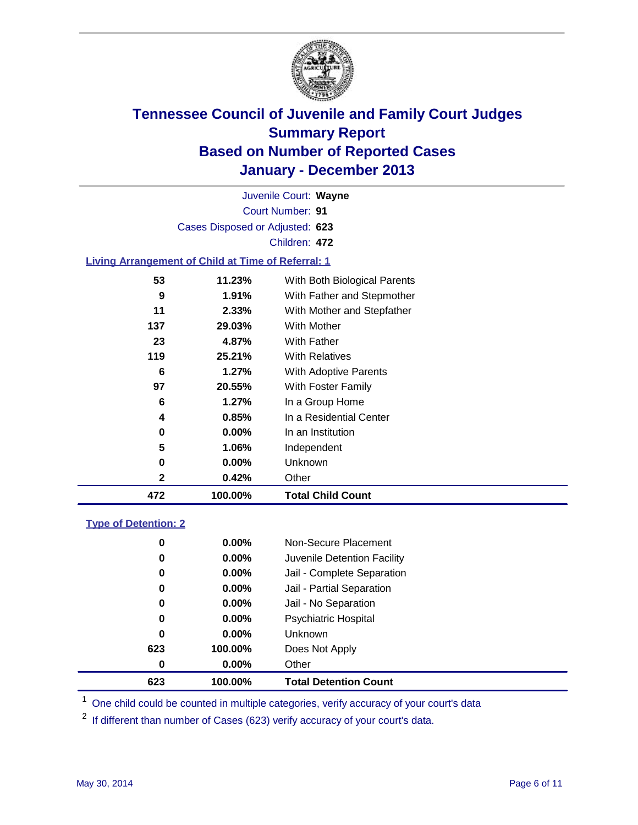

Court Number: **91** Juvenile Court: **Wayne** Cases Disposed or Adjusted: **623** Children: **472**

### **Living Arrangement of Child at Time of Referral: 1**

| 472 | 100.00%  | <b>Total Child Count</b>     |  |
|-----|----------|------------------------------|--|
| 2   | 0.42%    | Other                        |  |
| 0   | $0.00\%$ | Unknown                      |  |
| 5   | 1.06%    | Independent                  |  |
| 0   | $0.00\%$ | In an Institution            |  |
| 4   | 0.85%    | In a Residential Center      |  |
| 6   | 1.27%    | In a Group Home              |  |
| 97  | 20.55%   | With Foster Family           |  |
| 6   | 1.27%    | <b>With Adoptive Parents</b> |  |
| 119 | 25.21%   | <b>With Relatives</b>        |  |
| 23  | 4.87%    | With Father                  |  |
| 137 | 29.03%   | With Mother                  |  |
| 11  | 2.33%    | With Mother and Stepfather   |  |
| 9   | 1.91%    | With Father and Stepmother   |  |
| 53  | 11.23%   | With Both Biological Parents |  |
|     |          |                              |  |

#### **Type of Detention: 2**

| 623 | 100.00%  | <b>Total Detention Count</b> |  |
|-----|----------|------------------------------|--|
| 0   | $0.00\%$ | Other                        |  |
| 623 | 100.00%  | Does Not Apply               |  |
| 0   | $0.00\%$ | <b>Unknown</b>               |  |
| 0   | $0.00\%$ | <b>Psychiatric Hospital</b>  |  |
| 0   | 0.00%    | Jail - No Separation         |  |
| 0   | 0.00%    | Jail - Partial Separation    |  |
| 0   | 0.00%    | Jail - Complete Separation   |  |
| 0   | 0.00%    | Juvenile Detention Facility  |  |
| 0   | 0.00%    | Non-Secure Placement         |  |
|     |          |                              |  |

<sup>1</sup> One child could be counted in multiple categories, verify accuracy of your court's data

<sup>2</sup> If different than number of Cases (623) verify accuracy of your court's data.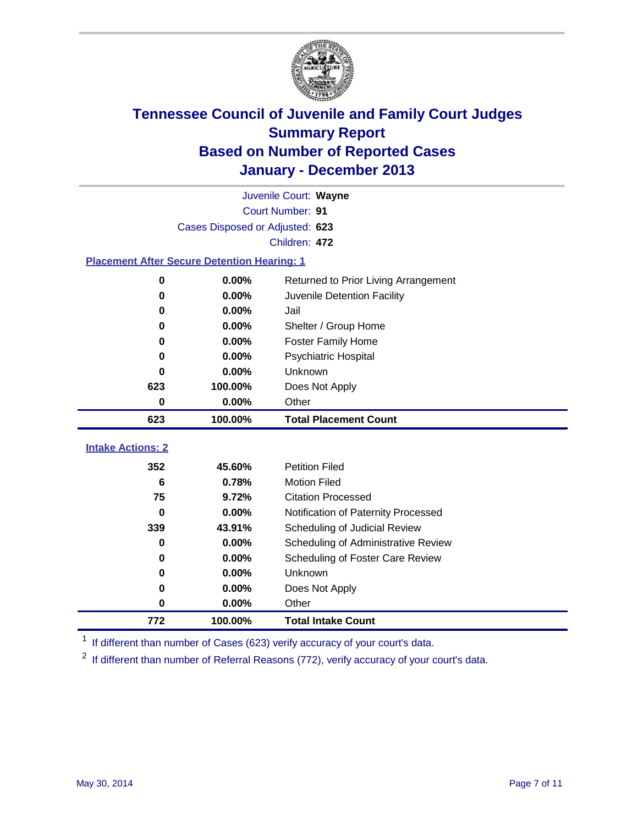

|                                                    | Juvenile Court: Wayne           |                                      |  |  |  |  |
|----------------------------------------------------|---------------------------------|--------------------------------------|--|--|--|--|
|                                                    | Court Number: 91                |                                      |  |  |  |  |
|                                                    | Cases Disposed or Adjusted: 623 |                                      |  |  |  |  |
|                                                    | Children: 472                   |                                      |  |  |  |  |
| <b>Placement After Secure Detention Hearing: 1</b> |                                 |                                      |  |  |  |  |
| 0                                                  | 0.00%                           | Returned to Prior Living Arrangement |  |  |  |  |
| $\bf{0}$                                           | 0.00%                           | Juvenile Detention Facility          |  |  |  |  |
| $\bf{0}$                                           | 0.00%                           | Jail                                 |  |  |  |  |
| 0                                                  | 0.00%                           | Shelter / Group Home                 |  |  |  |  |
| 0                                                  | 0.00%                           | <b>Foster Family Home</b>            |  |  |  |  |
| 0                                                  | 0.00%                           | <b>Psychiatric Hospital</b>          |  |  |  |  |
| 0                                                  | 0.00%                           | Unknown                              |  |  |  |  |
| 623                                                | 100.00%                         | Does Not Apply                       |  |  |  |  |
| 0                                                  | 0.00%                           | Other                                |  |  |  |  |
| 623                                                | 100.00%                         | <b>Total Placement Count</b>         |  |  |  |  |
| <b>Intake Actions: 2</b>                           |                                 |                                      |  |  |  |  |
|                                                    |                                 |                                      |  |  |  |  |
| 352                                                | 45.60%                          | <b>Petition Filed</b>                |  |  |  |  |
| 6                                                  | 0.78%                           | <b>Motion Filed</b>                  |  |  |  |  |
| 75                                                 | 9.72%                           | <b>Citation Processed</b>            |  |  |  |  |
| 0                                                  | 0.00%                           | Notification of Paternity Processed  |  |  |  |  |
| 339                                                | 43.91%                          | Scheduling of Judicial Review        |  |  |  |  |
| $\bf{0}$                                           | 0.00%                           | Scheduling of Administrative Review  |  |  |  |  |
| 0                                                  | 0.00%                           | Scheduling of Foster Care Review     |  |  |  |  |
| 0                                                  | 0.00%                           | Unknown                              |  |  |  |  |
| 0                                                  | 0.00%                           | Does Not Apply                       |  |  |  |  |
| 0                                                  | 0.00%                           | Other                                |  |  |  |  |
| 772                                                | 100.00%                         | <b>Total Intake Count</b>            |  |  |  |  |

<sup>1</sup> If different than number of Cases (623) verify accuracy of your court's data.

<sup>2</sup> If different than number of Referral Reasons (772), verify accuracy of your court's data.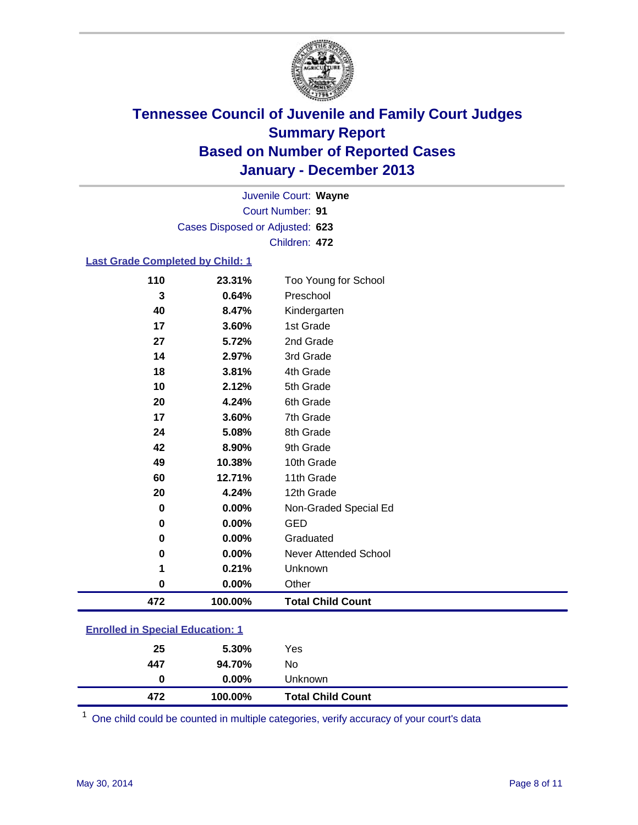

Court Number: **91** Juvenile Court: **Wayne** Cases Disposed or Adjusted: **623** Children: **472**

#### **Last Grade Completed by Child: 1**

| 110      | 23.31%  | Too Young for School         |
|----------|---------|------------------------------|
| 3        | 0.64%   | Preschool                    |
| 40       | 8.47%   | Kindergarten                 |
| 17       | 3.60%   | 1st Grade                    |
| 27       | 5.72%   | 2nd Grade                    |
| 14       | 2.97%   | 3rd Grade                    |
| 18       | 3.81%   | 4th Grade                    |
| 10       | 2.12%   | 5th Grade                    |
| 20       | 4.24%   | 6th Grade                    |
| 17       | 3.60%   | 7th Grade                    |
| 24       | 5.08%   | 8th Grade                    |
| 42       | 8.90%   | 9th Grade                    |
| 49       | 10.38%  | 10th Grade                   |
| 60       | 12.71%  | 11th Grade                   |
| 20       | 4.24%   | 12th Grade                   |
| $\bf{0}$ | 0.00%   | Non-Graded Special Ed        |
| 0        | 0.00%   | <b>GED</b>                   |
| 0        | 0.00%   | Graduated                    |
| 0        | 0.00%   | <b>Never Attended School</b> |
| 1        | 0.21%   | Unknown                      |
| 0        | 0.00%   | Other                        |
| 472      | 100.00% | <b>Total Child Count</b>     |

| <b>Enrolled in Special Education: 1</b> |  |
|-----------------------------------------|--|
|                                         |  |

| 25  | 5.30%    | Yes                      |
|-----|----------|--------------------------|
| 447 | 94.70%   | No                       |
| 0   | $0.00\%$ | Unknown                  |
| 472 | 100.00%  | <b>Total Child Count</b> |

One child could be counted in multiple categories, verify accuracy of your court's data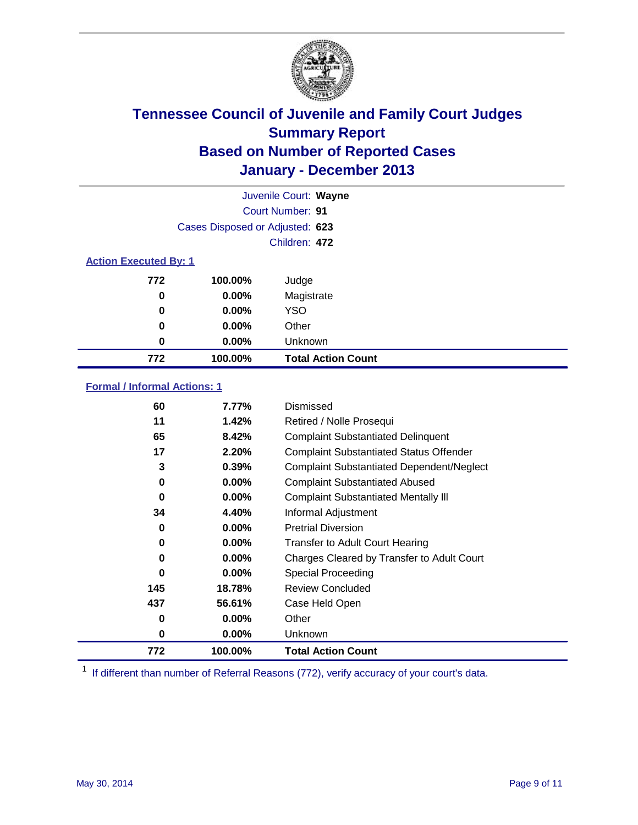

|                              |                                 | Juvenile Court: Wayne     |
|------------------------------|---------------------------------|---------------------------|
|                              |                                 | Court Number: 91          |
|                              | Cases Disposed or Adjusted: 623 |                           |
|                              |                                 | Children: 472             |
| <b>Action Executed By: 1</b> |                                 |                           |
| 772                          | 100.00%                         | Judge                     |
| 0                            | $0.00\%$                        | Magistrate                |
| 0                            | $0.00\%$                        | <b>YSO</b>                |
| 0                            | 0.00%                           | Other                     |
| 0                            | $0.00\%$                        | Unknown                   |
| 772                          | 100.00%                         | <b>Total Action Count</b> |

### **Formal / Informal Actions: 1**

| 60       | 7.77%    | Dismissed                                        |
|----------|----------|--------------------------------------------------|
| 11       | 1.42%    | Retired / Nolle Prosequi                         |
| 65       | 8.42%    | <b>Complaint Substantiated Delinquent</b>        |
| 17       | 2.20%    | <b>Complaint Substantiated Status Offender</b>   |
| 3        | 0.39%    | <b>Complaint Substantiated Dependent/Neglect</b> |
| 0        | $0.00\%$ | <b>Complaint Substantiated Abused</b>            |
| $\bf{0}$ | $0.00\%$ | <b>Complaint Substantiated Mentally III</b>      |
| 34       | 4.40%    | Informal Adjustment                              |
| 0        | $0.00\%$ | <b>Pretrial Diversion</b>                        |
| 0        | $0.00\%$ | <b>Transfer to Adult Court Hearing</b>           |
| 0        | $0.00\%$ | Charges Cleared by Transfer to Adult Court       |
| $\bf{0}$ | $0.00\%$ | Special Proceeding                               |
| 145      | 18.78%   | <b>Review Concluded</b>                          |
| 437      | 56.61%   | Case Held Open                                   |
| 0        | $0.00\%$ | Other                                            |
| 0        | $0.00\%$ | Unknown                                          |
| 772      | 100.00%  | <b>Total Action Count</b>                        |

<sup>1</sup> If different than number of Referral Reasons (772), verify accuracy of your court's data.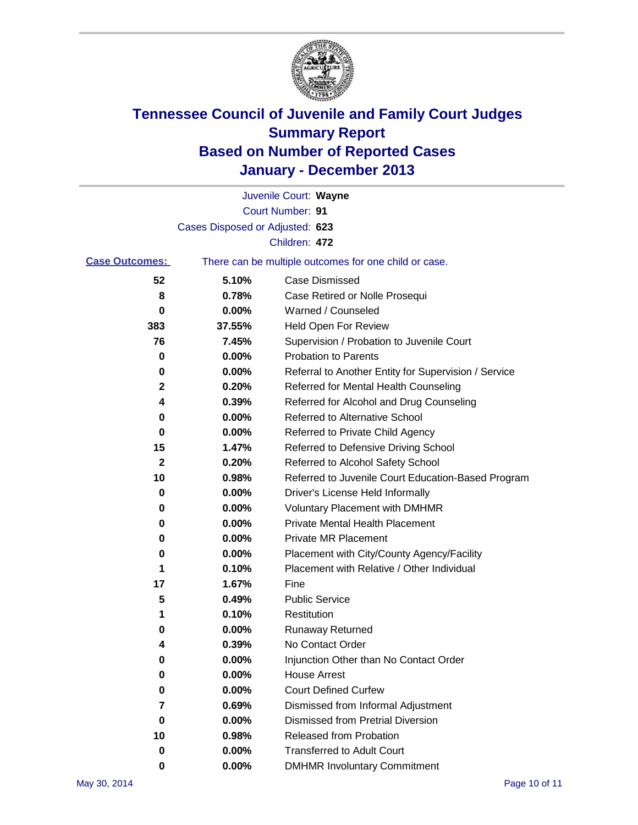

|                       |                                 | Juvenile Court: Wayne                                 |
|-----------------------|---------------------------------|-------------------------------------------------------|
|                       |                                 | Court Number: 91                                      |
|                       | Cases Disposed or Adjusted: 623 |                                                       |
|                       |                                 | Children: 472                                         |
| <b>Case Outcomes:</b> |                                 | There can be multiple outcomes for one child or case. |
| 52                    | 5.10%                           | Case Dismissed                                        |
| 8                     | 0.78%                           | Case Retired or Nolle Prosequi                        |
| 0                     | 0.00%                           | Warned / Counseled                                    |
| 383                   | 37.55%                          | Held Open For Review                                  |
| 76                    | 7.45%                           | Supervision / Probation to Juvenile Court             |
| 0                     | 0.00%                           | <b>Probation to Parents</b>                           |
| 0                     | 0.00%                           | Referral to Another Entity for Supervision / Service  |
| 2                     | 0.20%                           | Referred for Mental Health Counseling                 |
| 4                     | 0.39%                           | Referred for Alcohol and Drug Counseling              |
| 0                     | 0.00%                           | Referred to Alternative School                        |
| 0                     | 0.00%                           | Referred to Private Child Agency                      |
| 15                    | 1.47%                           | Referred to Defensive Driving School                  |
| 2                     | 0.20%                           | Referred to Alcohol Safety School                     |
| 10                    | 0.98%                           | Referred to Juvenile Court Education-Based Program    |
| 0                     | 0.00%                           | Driver's License Held Informally                      |
| 0                     | 0.00%                           | <b>Voluntary Placement with DMHMR</b>                 |
| 0                     | 0.00%                           | <b>Private Mental Health Placement</b>                |
| 0                     | 0.00%                           | <b>Private MR Placement</b>                           |
| 0                     | 0.00%                           | Placement with City/County Agency/Facility            |
| 1                     | 0.10%                           | Placement with Relative / Other Individual            |
| 17                    | 1.67%                           | Fine                                                  |
| 5                     | 0.49%                           | <b>Public Service</b>                                 |
| 1                     | 0.10%                           | Restitution                                           |
| 0                     | 0.00%                           | <b>Runaway Returned</b>                               |
| 4                     | 0.39%                           | No Contact Order                                      |
| 0                     | 0.00%                           | Injunction Other than No Contact Order                |
| 0                     | 0.00%                           | <b>House Arrest</b>                                   |
| 0                     | 0.00%                           | <b>Court Defined Curfew</b>                           |
| 7                     | 0.69%                           | Dismissed from Informal Adjustment                    |
| 0                     | 0.00%                           | Dismissed from Pretrial Diversion                     |
| 10                    | 0.98%                           | Released from Probation                               |
| 0                     | 0.00%                           | <b>Transferred to Adult Court</b>                     |
| $\bf{0}$              | $0.00\%$                        | <b>DMHMR Involuntary Commitment</b>                   |